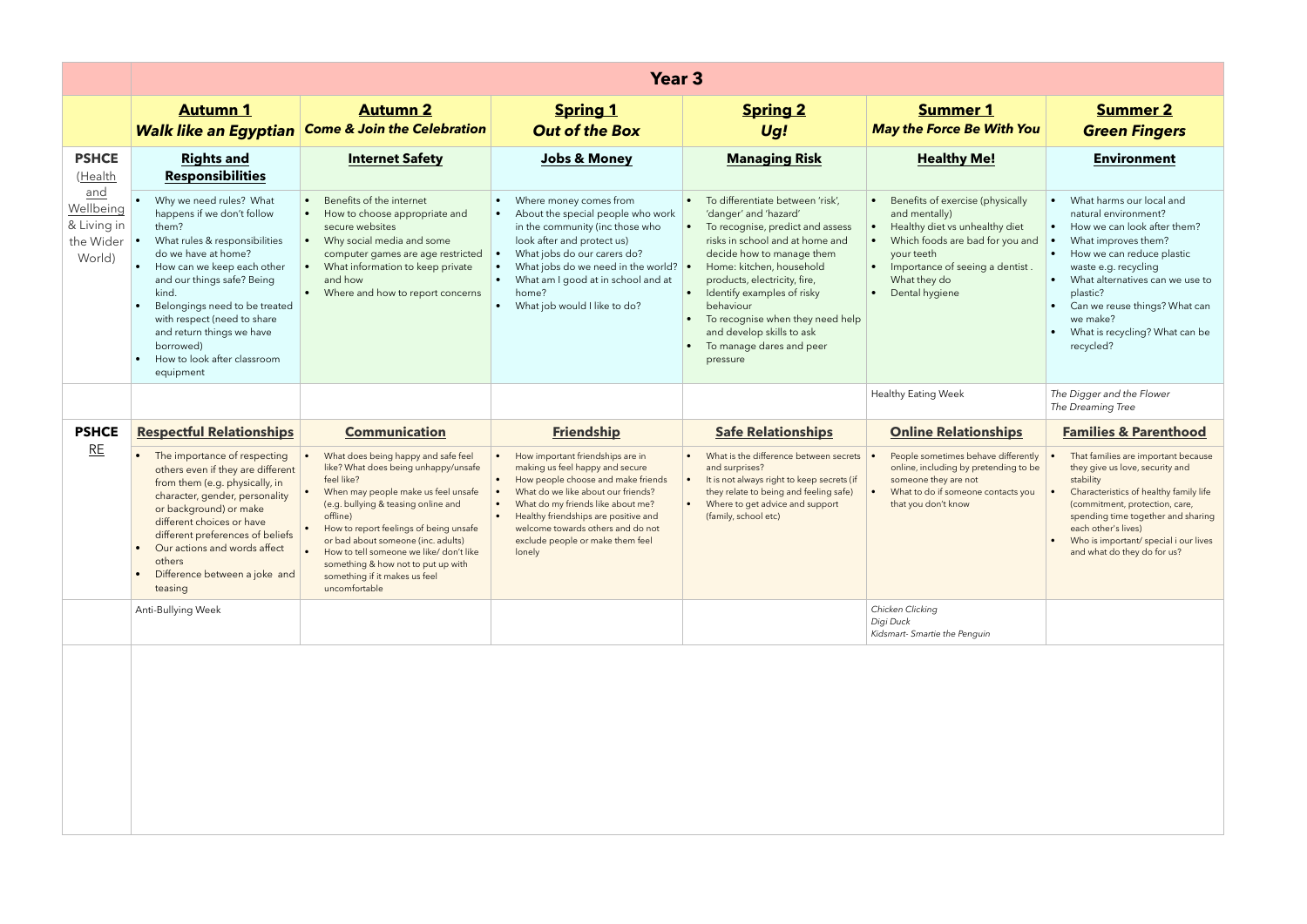|                                                        | <b>Year 3</b>                                                                                                                                                                                                                                                                                                                                     |                                                                                                                                                                                                                                                                                                                                                                                                        |                                                                                                                                                                                                                                                                                                                                                                     |                                                                                                                                                                                                                                                                                                                                                                                                |                                                                                                                                                                                                           |                                                                                                                                                                                                                                                                                                                                                   |
|--------------------------------------------------------|---------------------------------------------------------------------------------------------------------------------------------------------------------------------------------------------------------------------------------------------------------------------------------------------------------------------------------------------------|--------------------------------------------------------------------------------------------------------------------------------------------------------------------------------------------------------------------------------------------------------------------------------------------------------------------------------------------------------------------------------------------------------|---------------------------------------------------------------------------------------------------------------------------------------------------------------------------------------------------------------------------------------------------------------------------------------------------------------------------------------------------------------------|------------------------------------------------------------------------------------------------------------------------------------------------------------------------------------------------------------------------------------------------------------------------------------------------------------------------------------------------------------------------------------------------|-----------------------------------------------------------------------------------------------------------------------------------------------------------------------------------------------------------|---------------------------------------------------------------------------------------------------------------------------------------------------------------------------------------------------------------------------------------------------------------------------------------------------------------------------------------------------|
|                                                        | <b>Autumn 1</b>                                                                                                                                                                                                                                                                                                                                   | <b>Autumn 2</b><br><b>Walk like an Egyptian Come &amp; Join the Celebration</b>                                                                                                                                                                                                                                                                                                                        | <b>Spring 1</b><br><b>Out of the Box</b>                                                                                                                                                                                                                                                                                                                            | <b>Spring 2</b><br>Ug!                                                                                                                                                                                                                                                                                                                                                                         | <b>Summer 1</b><br><b>May the Force Be With You</b>                                                                                                                                                       | <b>Summer 2</b><br><b>Green Fingers</b>                                                                                                                                                                                                                                                                                                           |
| <b>PSHCE</b><br>(Health                                | <b>Rights and</b><br><b>Responsibilities</b>                                                                                                                                                                                                                                                                                                      | <b>Internet Safety</b>                                                                                                                                                                                                                                                                                                                                                                                 | <b>Jobs &amp; Money</b>                                                                                                                                                                                                                                                                                                                                             | <b>Managing Risk</b>                                                                                                                                                                                                                                                                                                                                                                           | <b>Healthy Me!</b>                                                                                                                                                                                        | <b>Environment</b>                                                                                                                                                                                                                                                                                                                                |
| and<br>Wellbeing<br>& Living in<br>the Wider<br>World) | Why we need rules? What<br>happens if we don't follow<br>them?<br>What rules & responsibilities<br>do we have at home?<br>How can we keep each other<br>and our things safe? Being<br>kind.<br>Belongings need to be treated<br>with respect (need to share<br>and return things we have<br>borrowed)<br>How to look after classroom<br>equipment | Benefits of the internet<br>How to choose appropriate and<br>secure websites<br>Why social media and some<br>$\bullet$<br>computer games are age restricted<br>What information to keep private<br>and how<br>Where and how to report concerns<br>$\bullet$                                                                                                                                            | • Where money comes from<br>About the special people who work<br>$\bullet$<br>in the community (inc those who<br>look after and protect us)<br>What jobs do our carers do?<br>What jobs do we need in the world? $\bullet$<br>$\bullet$<br>What am I good at in school and at<br>$\bullet$<br>home?<br>What job would I like to do?<br>$\bullet$                    | • To differentiate between 'risk',<br>'danger' and 'hazard'<br>To recognise, predict and assess<br>$\bullet$<br>risks in school and at home and<br>decide how to manage them<br>Home: kitchen, household<br>products, electricity, fire,<br>• Identify examples of risky<br>behaviour<br>To recognise when they need help<br>and develop skills to ask<br>To manage dares and peer<br>pressure | Benefits of exercise (physically<br>and mentally)<br>Healthy diet vs unhealthy diet<br>Which foods are bad for you and<br>your teeth<br>Importance of seeing a dentist.<br>What they do<br>Dental hygiene | • What harms our local and<br>natural environment?<br>• How we can look after them?<br>What improves them?<br>How we can reduce plastic<br>$\bullet$<br>waste e.g. recycling<br>What alternatives can we use to<br>$\bullet$<br>plastic?<br>Can we reuse things? What can<br>$\bullet$<br>we make?<br>What is recycling? What can be<br>recycled? |
|                                                        |                                                                                                                                                                                                                                                                                                                                                   |                                                                                                                                                                                                                                                                                                                                                                                                        |                                                                                                                                                                                                                                                                                                                                                                     |                                                                                                                                                                                                                                                                                                                                                                                                | <b>Healthy Eating Week</b>                                                                                                                                                                                | The Digger and the Flower<br>The Dreaming Tree                                                                                                                                                                                                                                                                                                    |
| <b>PSHCE</b>                                           | <b>Respectful Relationships</b>                                                                                                                                                                                                                                                                                                                   | <b>Communication</b>                                                                                                                                                                                                                                                                                                                                                                                   | <b>Friendship</b>                                                                                                                                                                                                                                                                                                                                                   | <b>Safe Relationships</b>                                                                                                                                                                                                                                                                                                                                                                      | <b>Online Relationships</b>                                                                                                                                                                               | <b>Families &amp; Parenthood</b>                                                                                                                                                                                                                                                                                                                  |
| RE                                                     | The importance of respecting<br>others even if they are different<br>from them (e.g. physically, in<br>character, gender, personality<br>or background) or make<br>different choices or have<br>different preferences of beliefs<br>Our actions and words affect<br>others<br>Difference between a joke and<br>teasing                            | What does being happy and safe feel<br>like? What does being unhappy/unsafe<br>feel like?<br>When may people make us feel unsafe<br>(e.g. bullying & teasing online and<br>offline)<br>How to report feelings of being unsafe<br>or bad about someone (inc. adults)<br>How to tell someone we like/ don't like<br>something & how not to put up with<br>something if it makes us feel<br>uncomfortable | How important friendships are in<br>$\bullet$<br>making us feel happy and secure<br>How people choose and make friends<br>$\bullet$<br>What do we like about our friends?<br>What do my friends like about me?<br>$\bullet$<br>Healthy friendships are positive and<br>$\bullet$<br>welcome towards others and do not<br>exclude people or make them feel<br>lonely | What is the difference between secrets<br>and surprises?<br>It is not always right to keep secrets (if<br>$\bullet$<br>they relate to being and feeling safe)<br>Where to get advice and support<br>(family, school etc)                                                                                                                                                                       | People sometimes behave differently<br>online, including by pretending to be<br>someone they are not<br>What to do if someone contacts you<br>that you don't know                                         | That families are important because<br>they give us love, security and<br>stability<br>Characteristics of healthy family life<br>(commitment, protection, care,<br>spending time together and sharing<br>each other's lives)<br>Who is important/ special i our lives<br>and what do they do for us?                                              |
|                                                        | Anti-Bullying Week                                                                                                                                                                                                                                                                                                                                |                                                                                                                                                                                                                                                                                                                                                                                                        |                                                                                                                                                                                                                                                                                                                                                                     |                                                                                                                                                                                                                                                                                                                                                                                                | Chicken Clicking<br>Digi Duck<br>Kidsmart- Smartie the Penguin                                                                                                                                            |                                                                                                                                                                                                                                                                                                                                                   |
|                                                        |                                                                                                                                                                                                                                                                                                                                                   |                                                                                                                                                                                                                                                                                                                                                                                                        |                                                                                                                                                                                                                                                                                                                                                                     |                                                                                                                                                                                                                                                                                                                                                                                                |                                                                                                                                                                                                           |                                                                                                                                                                                                                                                                                                                                                   |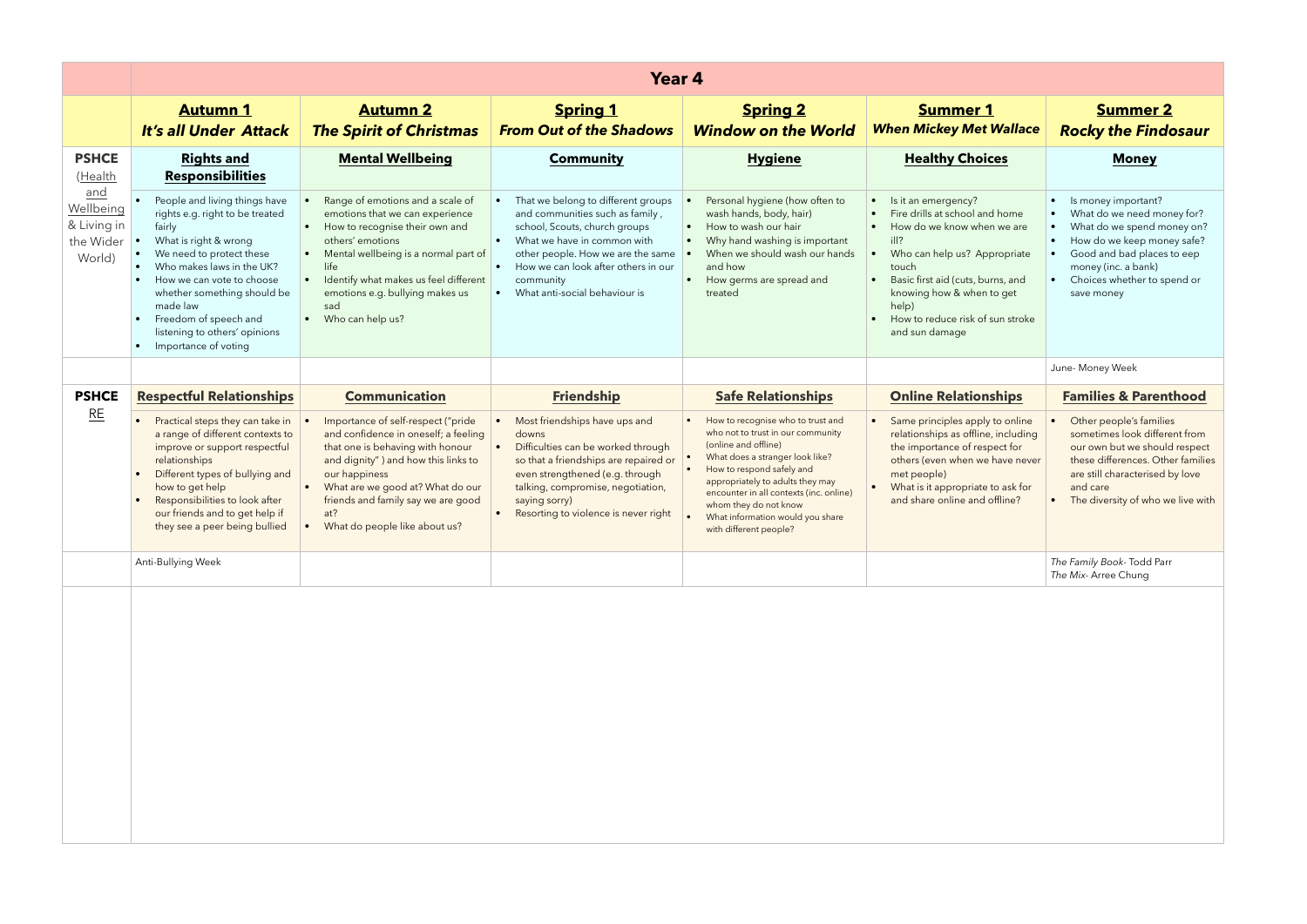|                                                        | Year 4                                                                                                                                                                                                                                                                                                                   |                                                                                                                                                                                                                                                                                                                  |                                                                                                                                                                                                                                                                                                        |                                                                                                                                                                                                                                                                                                                                                                   |                                                                                                                                                                                                                                                                                                          |                                                                                                                                                                                                                                                        |
|--------------------------------------------------------|--------------------------------------------------------------------------------------------------------------------------------------------------------------------------------------------------------------------------------------------------------------------------------------------------------------------------|------------------------------------------------------------------------------------------------------------------------------------------------------------------------------------------------------------------------------------------------------------------------------------------------------------------|--------------------------------------------------------------------------------------------------------------------------------------------------------------------------------------------------------------------------------------------------------------------------------------------------------|-------------------------------------------------------------------------------------------------------------------------------------------------------------------------------------------------------------------------------------------------------------------------------------------------------------------------------------------------------------------|----------------------------------------------------------------------------------------------------------------------------------------------------------------------------------------------------------------------------------------------------------------------------------------------------------|--------------------------------------------------------------------------------------------------------------------------------------------------------------------------------------------------------------------------------------------------------|
|                                                        | <b>Autumn 1</b><br><b>It's all Under Attack</b>                                                                                                                                                                                                                                                                          | <b>Autumn 2</b><br><b>The Spirit of Christmas</b>                                                                                                                                                                                                                                                                | <b>Spring 1</b><br><b>From Out of the Shadows</b>                                                                                                                                                                                                                                                      | <b>Spring 2</b><br><b>Window on the World</b>                                                                                                                                                                                                                                                                                                                     | <b>Summer 1</b><br><b>When Mickey Met Wallace</b>                                                                                                                                                                                                                                                        | <b>Summer 2</b><br><b>Rocky the Findosaur</b>                                                                                                                                                                                                          |
| <b>PSHCE</b><br>(Health                                | <b>Rights and</b><br><b>Responsibilities</b>                                                                                                                                                                                                                                                                             | <b>Mental Wellbeing</b>                                                                                                                                                                                                                                                                                          | <b>Community</b>                                                                                                                                                                                                                                                                                       | <b>Hygiene</b>                                                                                                                                                                                                                                                                                                                                                    | <b>Healthy Choices</b>                                                                                                                                                                                                                                                                                   | <b>Money</b>                                                                                                                                                                                                                                           |
| and<br>Wellbeing<br>& Living in<br>the Wider<br>World) | People and living things have<br>rights e.g. right to be treated<br>fairly<br>What is right & wrong<br>We need to protect these<br>Who makes laws in the UK?<br>How we can vote to choose<br>whether something should be<br>made law<br>Freedom of speech and<br>listening to others' opinions<br>• Importance of voting | Range of emotions and a scale of<br>emotions that we can experience<br>How to recognise their own and<br>others' emotions<br>Mental wellbeing is a normal part of<br>life<br>Identify what makes us feel different<br>emotions e.g. bullying makes us<br>sad<br>• Who can help us?                               | That we belong to different groups<br>and communities such as family,<br>school, Scouts, church groups<br>What we have in common with<br>$\bullet$<br>other people. How we are the same<br>How we can look after others in our<br>$\bullet$<br>community<br>What anti-social behaviour is<br>$\bullet$ | Personal hygiene (how often to<br>wash hands, body, hair)<br>How to wash our hair<br>$\bullet$<br>Why hand washing is important<br>$\bullet$<br>When we should wash our hands<br>and how<br>How germs are spread and<br>$\bullet$<br>treated                                                                                                                      | Is it an emergency?<br>Fire drills at school and home<br>How do we know when we are<br>$\frac{1}{2}$<br>Who can help us? Appropriate<br>touch<br>Basic first aid (cuts, burns, and<br>$\bullet$<br>knowing how & when to get<br>help)<br>How to reduce risk of sun stroke<br>$\bullet$<br>and sun damage | Is money important?<br>What do we need money for?<br>What do we spend money on?<br>How do we keep money safe?<br>$\bullet$<br>Good and bad places to eep<br>money (inc. a bank)<br>Choices whether to spend or<br>save money                           |
|                                                        |                                                                                                                                                                                                                                                                                                                          |                                                                                                                                                                                                                                                                                                                  |                                                                                                                                                                                                                                                                                                        |                                                                                                                                                                                                                                                                                                                                                                   |                                                                                                                                                                                                                                                                                                          | June- Money Week                                                                                                                                                                                                                                       |
| <b>PSHCE</b><br>RE                                     | <b>Respectful Relationships</b><br>Practical steps they can take in<br>a range of different contexts to<br>improve or support respectful<br>relationships<br>Different types of bullying and<br>how to get help<br>Responsibilities to look after<br>our friends and to get help if<br>they see a peer being bullied     | <b>Communication</b><br>Importance of self-respect ("pride<br>and confidence in oneself; a feeling<br>that one is behaving with honour<br>and dignity") and how this links to<br>our happiness<br>What are we good at? What do our<br>friends and family say we are good<br>at?<br>What do people like about us? | <b>Friendship</b><br>Most friendships have ups and<br>downs<br>Difficulties can be worked through<br>so that a friendships are repaired or<br>even strengthened (e.g. through<br>talking, compromise, negotiation,<br>saying sorry)<br>Resorting to violence is never right                            | <b>Safe Relationships</b><br>How to recognise who to trust and<br>who not to trust in our community<br>(online and offline)<br>What does a stranger look like?<br>How to respond safely and<br>appropriately to adults they may<br>encounter in all contexts (inc. online)<br>whom they do not know<br>What information would you share<br>with different people? | <b>Online Relationships</b><br>Same principles apply to online<br>relationships as offline, including<br>the importance of respect for<br>others (even when we have never<br>met people)<br>What is it appropriate to ask for<br>and share online and offline?                                           | <b>Families &amp; Parenthood</b><br>Other people's families<br>sometimes look different from<br>our own but we should respect<br>these differences. Other families<br>are still characterised by love<br>and care<br>The diversity of who we live with |
|                                                        | Anti-Bullying Week                                                                                                                                                                                                                                                                                                       |                                                                                                                                                                                                                                                                                                                  |                                                                                                                                                                                                                                                                                                        |                                                                                                                                                                                                                                                                                                                                                                   |                                                                                                                                                                                                                                                                                                          | The Family Book- Todd Parr<br>The Mix- Arree Chung                                                                                                                                                                                                     |
|                                                        |                                                                                                                                                                                                                                                                                                                          |                                                                                                                                                                                                                                                                                                                  |                                                                                                                                                                                                                                                                                                        |                                                                                                                                                                                                                                                                                                                                                                   |                                                                                                                                                                                                                                                                                                          |                                                                                                                                                                                                                                                        |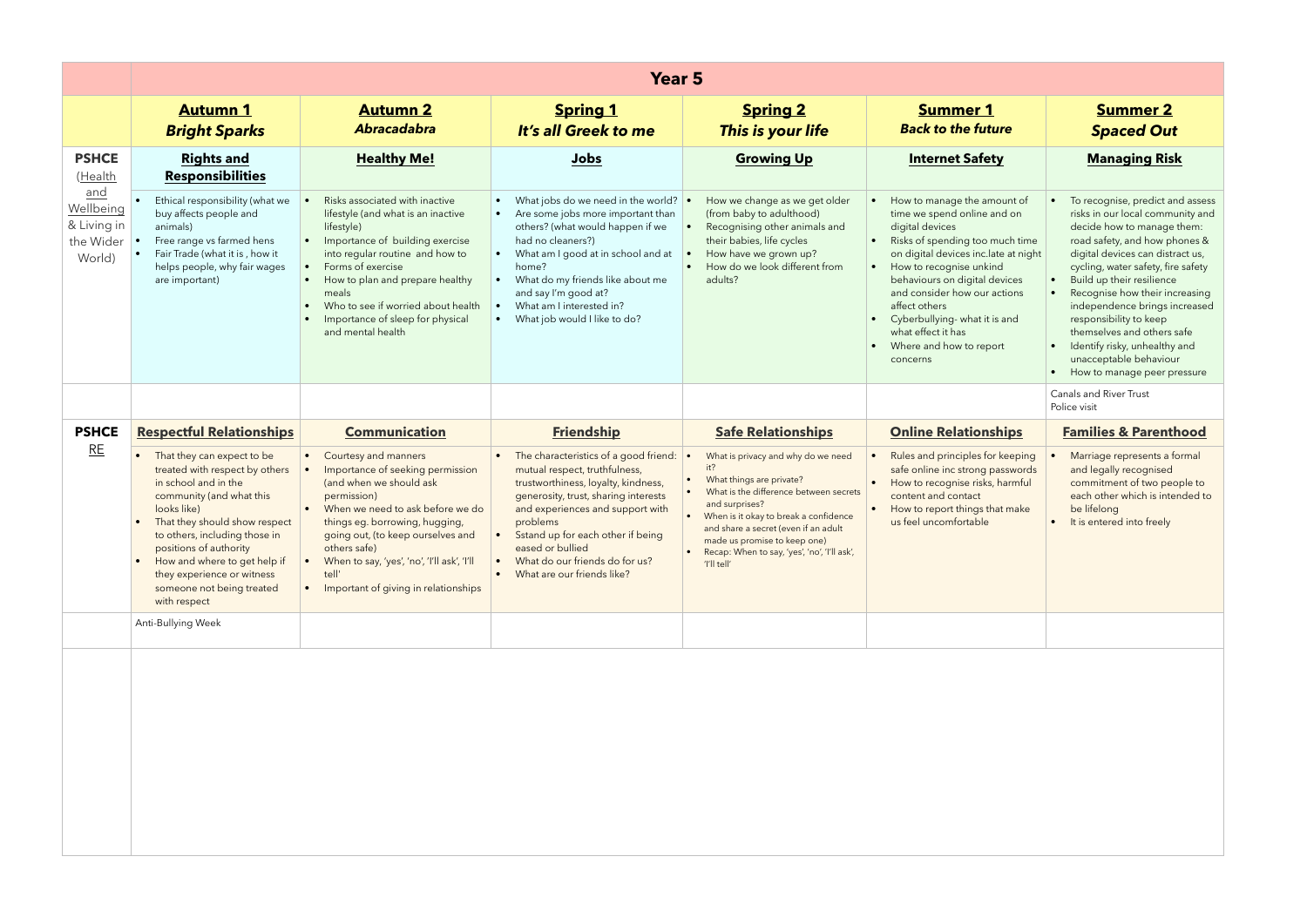|                                                        | <b>Year 5</b>                                                                                                                                                                                                                                                                                                                          |                                                                                                                                                                                                                                                                                                                                 |                                                                                                                                                                                                                                                                                                                                                                         |                                                                                                                                                                                                                                                                                                                   |                                                                                                                                                                                                                                                                                                                                                                                                            |                                                                                                                                                                                                                                                                                                                                                                                                                                                                              |
|--------------------------------------------------------|----------------------------------------------------------------------------------------------------------------------------------------------------------------------------------------------------------------------------------------------------------------------------------------------------------------------------------------|---------------------------------------------------------------------------------------------------------------------------------------------------------------------------------------------------------------------------------------------------------------------------------------------------------------------------------|-------------------------------------------------------------------------------------------------------------------------------------------------------------------------------------------------------------------------------------------------------------------------------------------------------------------------------------------------------------------------|-------------------------------------------------------------------------------------------------------------------------------------------------------------------------------------------------------------------------------------------------------------------------------------------------------------------|------------------------------------------------------------------------------------------------------------------------------------------------------------------------------------------------------------------------------------------------------------------------------------------------------------------------------------------------------------------------------------------------------------|------------------------------------------------------------------------------------------------------------------------------------------------------------------------------------------------------------------------------------------------------------------------------------------------------------------------------------------------------------------------------------------------------------------------------------------------------------------------------|
|                                                        | <b>Autumn 1</b><br><b>Bright Sparks</b>                                                                                                                                                                                                                                                                                                | <b>Autumn 2</b><br><b>Abracadabra</b>                                                                                                                                                                                                                                                                                           | <b>Spring 1</b><br>It's all Greek to me                                                                                                                                                                                                                                                                                                                                 | <b>Spring 2</b><br>This is your life                                                                                                                                                                                                                                                                              | <b>Summer 1</b><br><b>Back to the future</b>                                                                                                                                                                                                                                                                                                                                                               | <b>Summer 2</b><br><b>Spaced Out</b>                                                                                                                                                                                                                                                                                                                                                                                                                                         |
| <b>PSHCE</b><br>(Health                                | <b>Rights and</b><br><b>Responsibilities</b>                                                                                                                                                                                                                                                                                           | <b>Healthy Me!</b>                                                                                                                                                                                                                                                                                                              | Jobs                                                                                                                                                                                                                                                                                                                                                                    | <b>Growing Up</b>                                                                                                                                                                                                                                                                                                 | <b>Internet Safety</b>                                                                                                                                                                                                                                                                                                                                                                                     | <b>Managing Risk</b>                                                                                                                                                                                                                                                                                                                                                                                                                                                         |
| and<br>Wellbeing<br>& Living in<br>the Wider<br>World) | Ethical responsibility (what we<br>buy affects people and<br>animals)<br>Free range vs farmed hens<br>Fair Trade (what it is, how it<br>helps people, why fair wages<br>are important)                                                                                                                                                 | Risks associated with inactive<br>lifestyle (and what is an inactive<br>lifestyle)<br>Importance of building exercise<br>into regular routine and how to<br>Forms of exercise<br>How to plan and prepare healthy<br>meals<br>Who to see if worried about health<br>Importance of sleep for physical<br>and mental health        | What jobs do we need in the world? $\bullet$<br>• Are some jobs more important than<br>others? (what would happen if we<br>had no cleaners?)<br>What am I good at in school and at<br>$\bullet$<br>home?<br>What do my friends like about me<br>$\bullet$<br>and say I'm good at?<br>What am I interested in?<br>$\bullet$<br>What job would I like to do?<br>$\bullet$ | How we change as we get older<br>(from baby to adulthood)<br>Recognising other animals and<br>their babies, life cycles<br>How have we grown up?<br>How do we look different from<br>adults?                                                                                                                      | How to manage the amount of<br>time we spend online and on<br>digital devices<br>Risks of spending too much time<br>$\bullet$<br>on digital devices inc.late at night<br>How to recognise unkind<br>$\bullet$<br>behaviours on digital devices<br>and consider how our actions<br>affect others<br>Cyberbullying- what it is and<br>$\bullet$<br>what effect it has<br>Where and how to report<br>concerns | To recognise, predict and assess<br>risks in our local community and<br>decide how to manage them:<br>road safety, and how phones &<br>digital devices can distract us,<br>cycling, water safety, fire safety<br>Build up their resilience<br>Recognise how their increasing<br>independence brings increased<br>responsibility to keep<br>themselves and others safe<br>Identify risky, unhealthy and<br>$\bullet$<br>unacceptable behaviour<br>How to manage peer pressure |
|                                                        |                                                                                                                                                                                                                                                                                                                                        |                                                                                                                                                                                                                                                                                                                                 |                                                                                                                                                                                                                                                                                                                                                                         |                                                                                                                                                                                                                                                                                                                   |                                                                                                                                                                                                                                                                                                                                                                                                            | Canals and River Trust<br>Police visit                                                                                                                                                                                                                                                                                                                                                                                                                                       |
| <b>PSHCE</b>                                           | <b>Respectful Relationships</b>                                                                                                                                                                                                                                                                                                        | <b>Communication</b>                                                                                                                                                                                                                                                                                                            | <b>Friendship</b>                                                                                                                                                                                                                                                                                                                                                       | <b>Safe Relationships</b>                                                                                                                                                                                                                                                                                         | <b>Online Relationships</b>                                                                                                                                                                                                                                                                                                                                                                                | <b>Families &amp; Parenthood</b>                                                                                                                                                                                                                                                                                                                                                                                                                                             |
| RE                                                     | That they can expect to be<br>treated with respect by others<br>in school and in the<br>community (and what this<br>looks like)<br>That they should show respect<br>to others, including those in<br>positions of authority<br>How and where to get help if<br>they experience or witness<br>someone not being treated<br>with respect | Courtesy and manners<br>Importance of seeking permission<br>(and when we should ask<br>permission)<br>When we need to ask before we do<br>things eg. borrowing, hugging,<br>going out, (to keep ourselves and<br>others safe)<br>When to say, 'yes', 'no', 'I'll ask', 'I'll<br>tell'<br>• Important of giving in relationships | • The characteristics of a good friend:<br>mutual respect, truthfulness,<br>trustworthiness, loyalty, kindness,<br>generosity, trust, sharing interests<br>and experiences and support with<br>problems<br>Sstand up for each other if being<br>eased or bullied<br>• What do our friends do for us?<br>What are our friends like?                                      | What is privacy and why do we need<br>it?<br>What things are private?<br>What is the difference between secrets<br>and surprises?<br>When is it okay to break a confidence<br>and share a secret (even if an adult<br>made us promise to keep one)<br>Recap: When to say, 'yes', 'no', 'I'll ask',<br>'I'll tell' | Rules and principles for keeping<br>safe online inc strong passwords<br>How to recognise risks, harmful<br>content and contact<br>How to report things that make<br>us feel uncomfortable                                                                                                                                                                                                                  | Marriage represents a formal<br>and legally recognised<br>commitment of two people to<br>each other which is intended to<br>be lifelong<br>It is entered into freely                                                                                                                                                                                                                                                                                                         |
|                                                        | Anti-Bullying Week                                                                                                                                                                                                                                                                                                                     |                                                                                                                                                                                                                                                                                                                                 |                                                                                                                                                                                                                                                                                                                                                                         |                                                                                                                                                                                                                                                                                                                   |                                                                                                                                                                                                                                                                                                                                                                                                            |                                                                                                                                                                                                                                                                                                                                                                                                                                                                              |
|                                                        |                                                                                                                                                                                                                                                                                                                                        |                                                                                                                                                                                                                                                                                                                                 |                                                                                                                                                                                                                                                                                                                                                                         |                                                                                                                                                                                                                                                                                                                   |                                                                                                                                                                                                                                                                                                                                                                                                            |                                                                                                                                                                                                                                                                                                                                                                                                                                                                              |